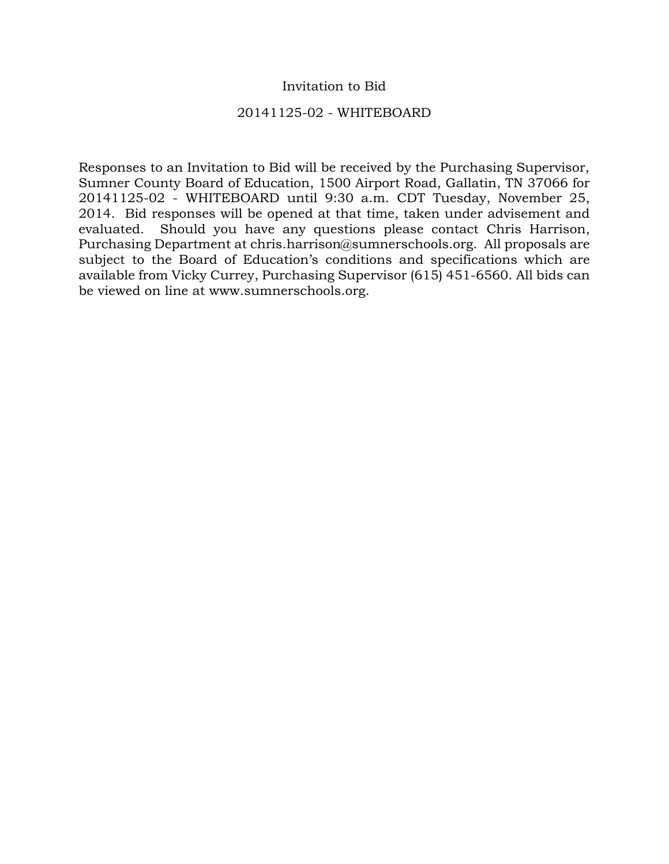## Invitation to Bid

## 20141125-02 - WHITEBOARD

Responses to an Invitation to Bid will be received by the Purchasing Supervisor, Sumner County Board of Education, 1500 Airport Road, Gallatin, TN 37066 for 20141125-02 - WHITEBOARD until 9:30 a.m. CDT Tuesday, November 25, 2014. Bid responses will be opened at that time, taken under advisement and evaluated. Should you have any questions please contact Chris Harrison, Purchasing Department at chris.harrison@sumnerschools.org. All proposals are subject to the Board of Education's conditions and specifications which are available from Vicky Currey, Purchasing Supervisor (615) 451-6560. All bids can be viewed on line at www.sumnerschools.org.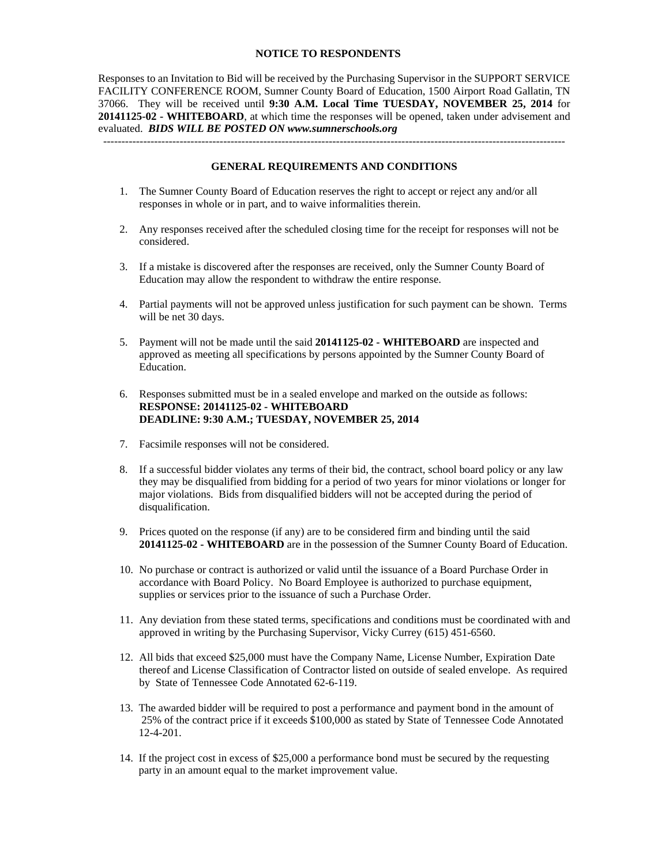#### **NOTICE TO RESPONDENTS**

Responses to an Invitation to Bid will be received by the Purchasing Supervisor in the SUPPORT SERVICE FACILITY CONFERENCE ROOM, Sumner County Board of Education, 1500 Airport Road Gallatin, TN 37066. They will be received until **9:30 A.M. Local Time TUESDAY, NOVEMBER 25, 2014** for **20141125-02 - WHITEBOARD**, at which time the responses will be opened, taken under advisement and evaluated. *BIDS WILL BE POSTED ON www.sumnerschools.org* 

#### **GENERAL REQUIREMENTS AND CONDITIONS**

-------------------------------------------------------------------------------------------------------------------------------

- 1. The Sumner County Board of Education reserves the right to accept or reject any and/or all responses in whole or in part, and to waive informalities therein.
- 2. Any responses received after the scheduled closing time for the receipt for responses will not be considered.
- 3. If a mistake is discovered after the responses are received, only the Sumner County Board of Education may allow the respondent to withdraw the entire response.
- 4. Partial payments will not be approved unless justification for such payment can be shown. Terms will be net 30 days.
- 5. Payment will not be made until the said **20141125-02 WHITEBOARD** are inspected and approved as meeting all specifications by persons appointed by the Sumner County Board of Education.
- 6. Responses submitted must be in a sealed envelope and marked on the outside as follows: **RESPONSE: 20141125-02 - WHITEBOARD DEADLINE: 9:30 A.M.; TUESDAY, NOVEMBER 25, 2014**
- 7. Facsimile responses will not be considered.
- 8. If a successful bidder violates any terms of their bid, the contract, school board policy or any law they may be disqualified from bidding for a period of two years for minor violations or longer for major violations. Bids from disqualified bidders will not be accepted during the period of disqualification.
- 9. Prices quoted on the response (if any) are to be considered firm and binding until the said **20141125-02 - WHITEBOARD** are in the possession of the Sumner County Board of Education.
- 10. No purchase or contract is authorized or valid until the issuance of a Board Purchase Order in accordance with Board Policy. No Board Employee is authorized to purchase equipment, supplies or services prior to the issuance of such a Purchase Order.
- 11. Any deviation from these stated terms, specifications and conditions must be coordinated with and approved in writing by the Purchasing Supervisor, Vicky Currey (615) 451-6560.
- 12. All bids that exceed \$25,000 must have the Company Name, License Number, Expiration Date thereof and License Classification of Contractor listed on outside of sealed envelope. As required by State of Tennessee Code Annotated 62-6-119.
- 13. The awarded bidder will be required to post a performance and payment bond in the amount of 25% of the contract price if it exceeds \$100,000 as stated by State of Tennessee Code Annotated 12-4-201.
- 14. If the project cost in excess of \$25,000 a performance bond must be secured by the requesting party in an amount equal to the market improvement value.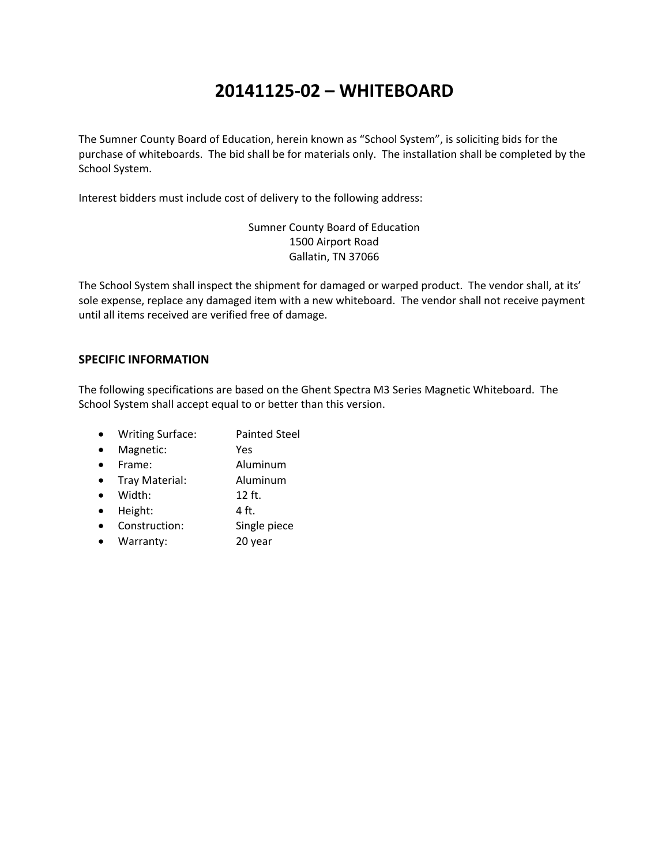# **20141125‐02 – WHITEBOARD**

The Sumner County Board of Education, herein known as "School System", is soliciting bids for the purchase of whiteboards. The bid shall be for materials only. The installation shall be completed by the School System.

Interest bidders must include cost of delivery to the following address:

Sumner County Board of Education 1500 Airport Road Gallatin, TN 37066

The School System shall inspect the shipment for damaged or warped product. The vendor shall, at its' sole expense, replace any damaged item with a new whiteboard. The vendor shall not receive payment until all items received are verified free of damage.

### **SPECIFIC INFORMATION**

The following specifications are based on the Ghent Spectra M3 Series Magnetic Whiteboard. The School System shall accept equal to or better than this version.

- Writing Surface: Painted Steel
- Magnetic: Yes
- Frame: Aluminum
- Tray Material: Aluminum
- Width: 12 ft.
- $\bullet$  Height:  $\bullet$  4 ft.
- Construction: Single piece
- Warranty: 20 year